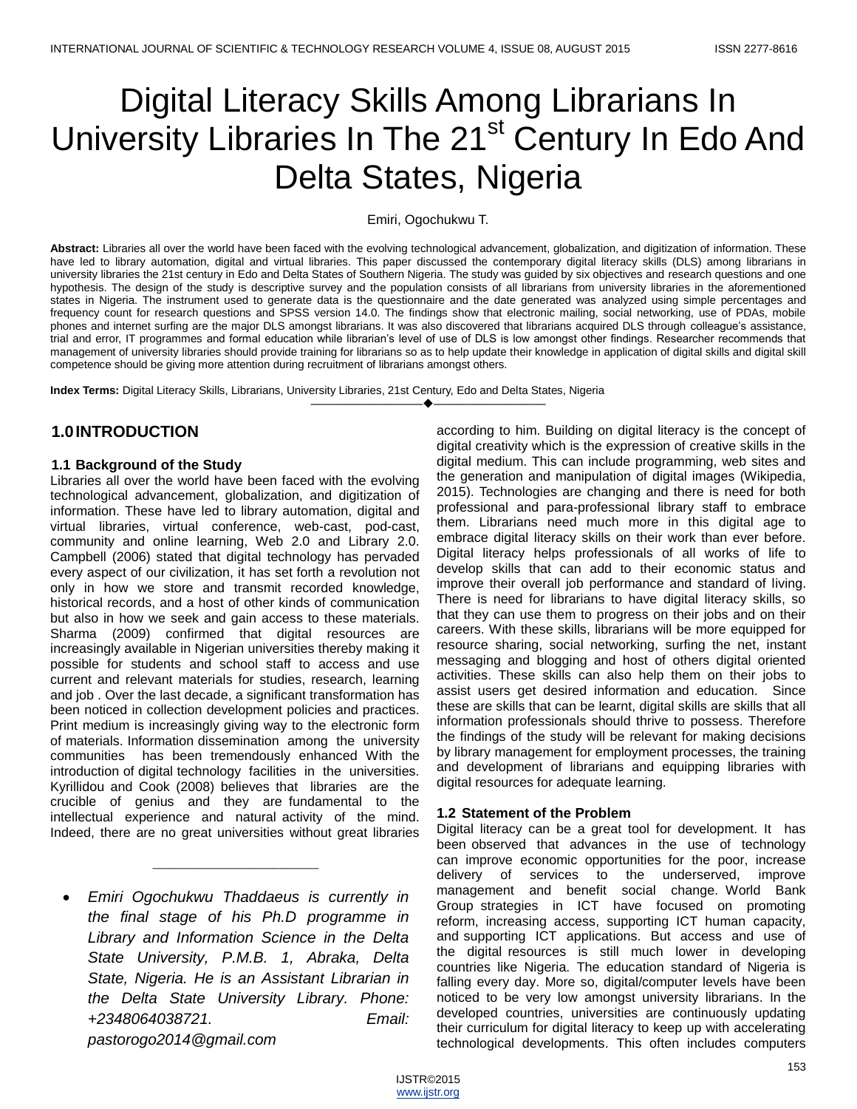# Digital Literacy Skills Among Librarians In University Libraries In The 21<sup>st</sup> Century In Edo And Delta States, Nigeria

Emiri, Ogochukwu T.

**Abstract:** Libraries all over the world have been faced with the evolving technological advancement, globalization, and digitization of information. These have led to library automation, digital and virtual libraries. This paper discussed the contemporary digital literacy skills (DLS) among librarians in university libraries the 21st century in Edo and Delta States of Southern Nigeria. The study was guided by six objectives and research questions and one hypothesis. The design of the study is descriptive survey and the population consists of all librarians from university libraries in the aforementioned states in Nigeria. The instrument used to generate data is the questionnaire and the date generated was analyzed using simple percentages and frequency count for research questions and SPSS version 14.0. The findings show that electronic mailing, social networking, use of PDAs, mobile phones and internet surfing are the major DLS amongst librarians. It was also discovered that librarians acquired DLS through colleague's assistance, trial and error, IT programmes and formal education while librarian's level of use of DLS is low amongst other findings. Researcher recommends that management of university libraries should provide training for librarians so as to help update their knowledge in application of digital skills and digital skill competence should be giving more attention during recruitment of librarians amongst others.

————————————————————

**Index Terms:** Digital Literacy Skills, Librarians, University Libraries, 21st Century, Edo and Delta States, Nigeria

# **1.0INTRODUCTION**

## **1.1 Background of the Study**

Libraries all over the world have been faced with the evolving technological advancement, globalization, and digitization of information. These have led to library automation, digital and virtual libraries, virtual conference, web-cast, pod-cast, community and online learning, Web 2.0 and Library 2.0. Campbell (2006) stated that digital technology has pervaded every aspect of our civilization, it has set forth a revolution not only in how we store and transmit recorded knowledge, historical records, and a host of other kinds of communication but also in how we seek and gain access to these materials. Sharma (2009) confirmed that digital resources are increasingly available in Nigerian universities thereby making it possible for students and school staff to access and use current and relevant materials for studies, research, learning and job . Over the last decade, a significant transformation has been noticed in collection development policies and practices. Print medium is increasingly giving way to the electronic form of materials. Information dissemination among the university communities has been tremendously enhanced With the introduction of digital technology facilities in the universities. Kyrillidou and Cook (2008) believes that libraries are the crucible of genius and they are fundamental to the intellectual experience and natural activity of the mind. Indeed, there are no great universities without great libraries

 *Emiri Ogochukwu Thaddaeus is currently in the final stage of his Ph.D programme in Library and Information Science in the Delta State University, P.M.B. 1, Abraka, Delta State, Nigeria. He is an Assistant Librarian in the Delta State University Library. Phone: +2348064038721. Email: pastorogo2014@gmail.com*

\_\_\_\_\_\_\_\_\_\_\_\_\_\_\_\_\_\_\_\_\_\_\_\_\_

according to him. Building on digital literacy is the concept of digital creativity which is the expression of creative skills in the digital medium. This can include programming, web sites and the generation and manipulation of digital images (Wikipedia, 2015). Technologies are changing and there is need for both professional and para-professional library staff to embrace them. Librarians need much more in this digital age to embrace digital literacy skills on their work than ever before. Digital literacy helps professionals of all works of life to develop skills that can add to their economic status and improve their overall job performance and standard of living. There is need for librarians to have digital literacy skills, so that they can use them to progress on their jobs and on their careers. With these skills, librarians will be more equipped for resource sharing, social networking, surfing the net, instant messaging and blogging and host of others digital oriented activities. These skills can also help them on their jobs to assist users get desired information and education. Since these are skills that can be learnt, digital skills are skills that all information professionals should thrive to possess. Therefore the findings of the study will be relevant for making decisions by library management for employment processes, the training and development of librarians and equipping libraries with digital resources for adequate learning.

## **1.2 Statement of the Problem**

Digital literacy can be a great tool for development. It has been observed that advances in the use of technology can improve economic opportunities for the poor, increase delivery of services to the underserved, improve management and benefit social change. World Bank Group strategies in ICT have focused on promoting reform, increasing access, supporting ICT human capacity, and supporting ICT applications. But access and use of the digital resources is still much lower in developing countries like Nigeria. The education standard of Nigeria is falling every day. More so, digital/computer levels have been noticed to be very low amongst university librarians. In the developed countries, universities are continuously updating their curriculum for digital literacy to keep up with accelerating technological developments. This often includes computers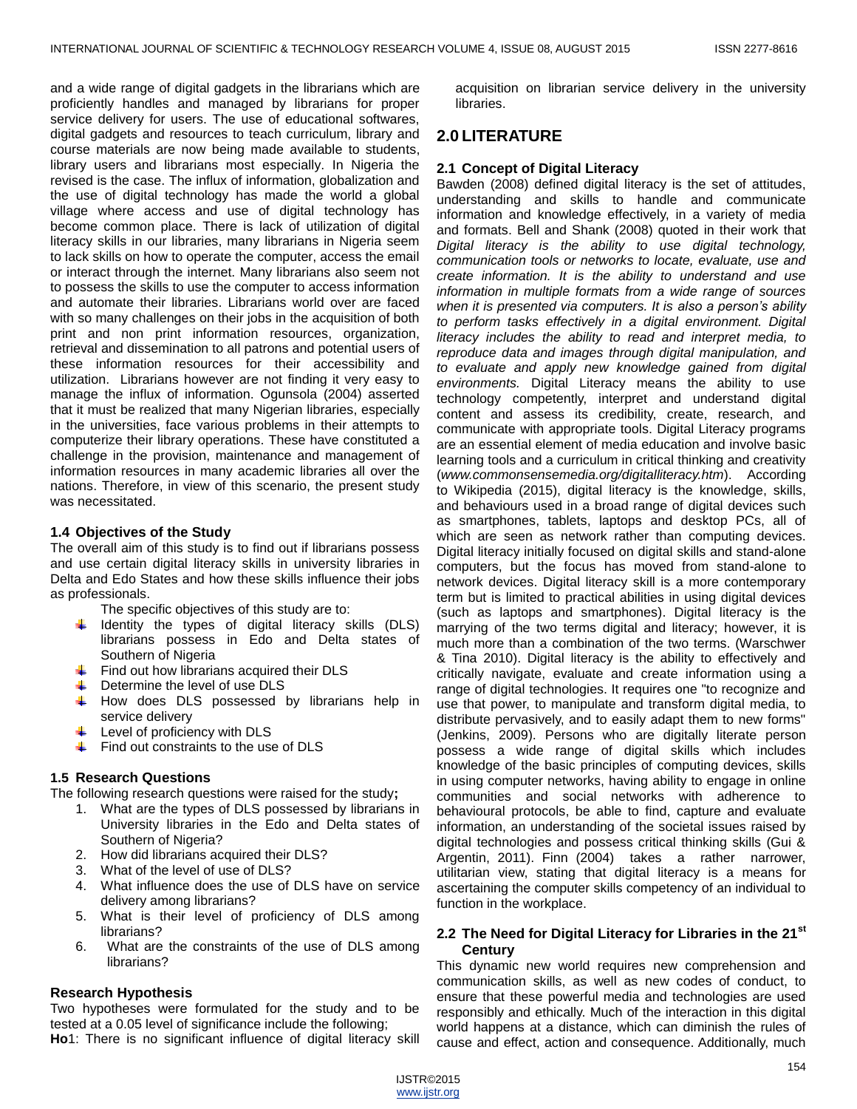and a wide range of digital gadgets in the librarians which are proficiently handles and managed by librarians for proper service delivery for users. The use of educational softwares, digital gadgets and resources to teach curriculum, library and course materials are now being made available to students, library users and librarians most especially. In Nigeria the revised is the case. The influx of information, globalization and the use of digital technology has made the world a global village where access and use of digital technology has become common place. There is lack of utilization of digital literacy skills in our libraries, many librarians in Nigeria seem to lack skills on how to operate the computer, access the email or interact through the internet. Many librarians also seem not to possess the skills to use the computer to access information and automate their libraries. Librarians world over are faced with so many challenges on their jobs in the acquisition of both print and non print information resources, organization, retrieval and dissemination to all patrons and potential users of these information resources for their accessibility and utilization. Librarians however are not finding it very easy to manage the influx of information. Ogunsola (2004) asserted that it must be realized that many Nigerian libraries, especially in the universities, face various problems in their attempts to computerize their library operations. These have constituted a challenge in the provision, maintenance and management of information resources in many academic libraries all over the nations. Therefore, in view of this scenario, the present study was necessitated.

#### **1.4 Objectives of the Study**

The overall aim of this study is to find out if librarians possess and use certain digital literacy skills in university libraries in Delta and Edo States and how these skills influence their jobs as professionals.

The specific objectives of this study are to:

- $\ddot{+}$  Identity the types of digital literacy skills (DLS) librarians possess in Edo and Delta states of Southern of Nigeria
- $\ddot{\phantom{1}}$  Find out how librarians acquired their DLS
- Determine the level of use DLS ÷.
- ÷. How does DLS possessed by librarians help in service delivery
- Level of proficiency with DLS
- Find out constraints to the use of DLS

#### **1.5 Research Questions**

The following research questions were raised for the study**;**

- 1. What are the types of DLS possessed by librarians in University libraries in the Edo and Delta states of Southern of Nigeria?
- 2. How did librarians acquired their DLS?
- 3. What of the level of use of DLS?
- 4. What influence does the use of DLS have on service delivery among librarians?
- 5. What is their level of proficiency of DLS among librarians?
- 6. What are the constraints of the use of DLS among librarians?

#### **Research Hypothesis**

Two hypotheses were formulated for the study and to be tested at a 0.05 level of significance include the following;

**Ho**1: There is no significant influence of digital literacy skill

acquisition on librarian service delivery in the university libraries.

# **2.0 LITERATURE**

#### **2.1 Concept of Digital Literacy**

Bawden (2008) defined digital literacy is the set of attitudes, understanding and skills to handle and communicate information and knowledge effectively, in a variety of media and formats. Bell and Shank (2008) quoted in their work that *Digital literacy is the ability to use digital technology, communication tools or networks to locate, evaluate, use and create information. It is the ability to understand and use information in multiple formats from a wide range of sources when it is presented via computers. It is also a person's ability to perform tasks effectively in a digital environment. Digital literacy includes the ability to read and interpret media, to reproduce data and images through digital manipulation, and to evaluate and apply new knowledge gained from digital environments.* Digital Literacy means the ability to use technology competently, interpret and understand digital content and assess its credibility, create, research, and communicate with appropriate tools. Digital Literacy programs are an essential element of media education and involve basic learning tools and a curriculum in critical thinking and creativity (*[www.commonsensemedia.org/digitalliteracy.htm](http://www.commonsensemedia.org/digitalliteracy.htm)*). According to Wikipedia (2015), digital literacy is the knowledge, skills, and behaviours used in a broad range of digital devices such as smartphones, tablets, laptops and desktop PCs, all of which are seen as network rather than computing devices. Digital literacy initially focused on digital skills and stand-alone computers, but the focus has moved from stand-alone to network devices. Digital literacy skill is a more contemporary term but is limited to practical abilities in using digital devices (such as laptops and smartphones). Digital literacy is the marrying of the two terms digital and literacy; however, it is much more than a combination of the two terms. (Warschwer & Tina 2010). Digital literacy is the ability to effectively and critically navigate, evaluate and create information using a range of digital technologies. It requires one "to recognize and use that power, to manipulate and transform digital media, to distribute pervasively, and to easily adapt them to new forms" (Jenkins, 2009). Persons who are digitally literate person possess a wide range of digital skills which includes knowledge of the basic principles of computing devices, skills in using computer networks, having ability to engage in online communities and social networks with adherence to behavioural protocols, be able to find, capture and evaluate information, an understanding of the societal issues raised by digital technologies and possess critical thinking skills (Gui & Argentin, 2011). Finn (2004) takes a rather narrower, utilitarian view, stating that digital literacy is a means for ascertaining the computer skills competency of an individual to function in the workplace.

#### **2.2 The Need for Digital Literacy for Libraries in the 21st Century**

This dynamic new world requires new comprehension and communication skills, as well as new codes of conduct, to ensure that these powerful media and technologies are used responsibly and ethically. Much of the interaction in this digital world happens at a distance, which can diminish the rules of cause and effect, action and consequence. Additionally, much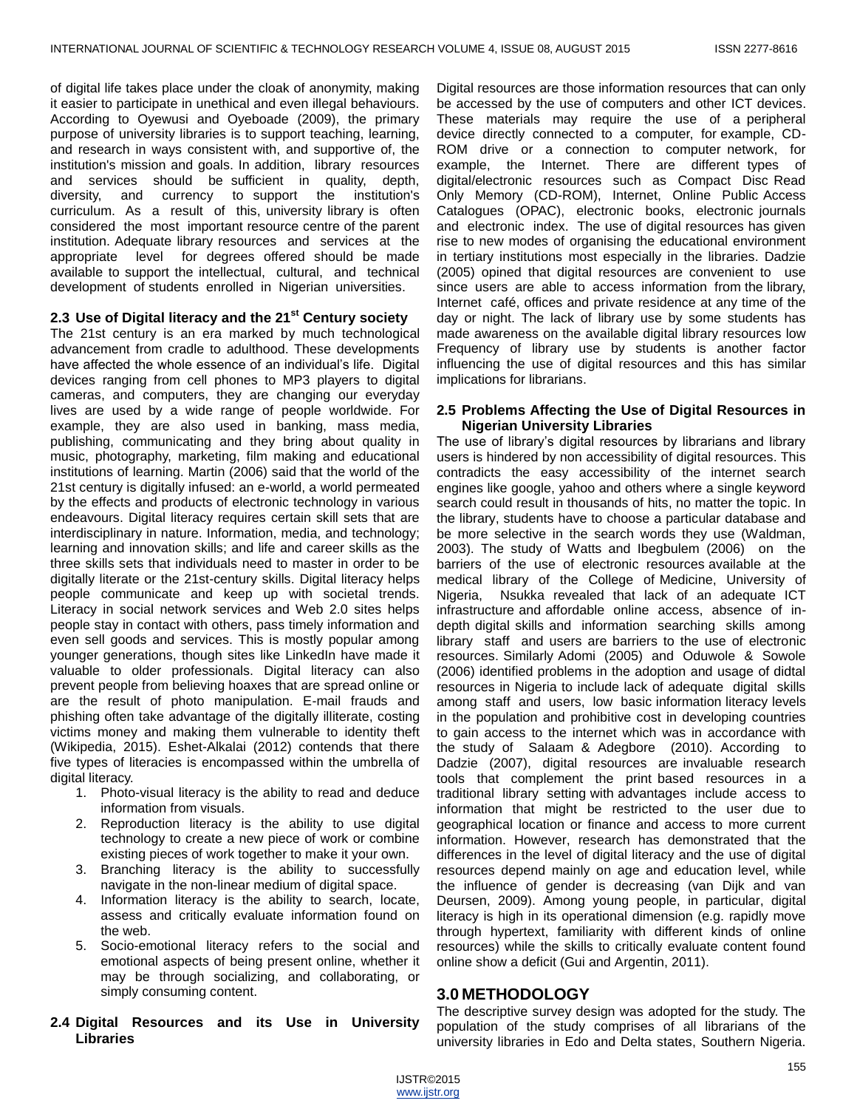of digital life takes place under the cloak of anonymity, making it easier to participate in unethical and even illegal behaviours. According to Oyewusi and Oyeboade (2009), the primary purpose of university libraries is to support teaching, learning, and research in ways consistent with, and supportive of, the institution's mission and goals. In addition, library resources and services should be sufficient in quality, depth, diversity, and currency to support the institution's curriculum. As a result of this, university library is often considered the most important resource centre of the parent institution. Adequate library resources and services at the appropriate level for degrees offered should be made available to support the intellectual, cultural, and technical development of students enrolled in Nigerian universities.

## **2.3 Use of Digital literacy and the 21st Century society**

The 21st century is an era marked by much technological advancement from cradle to adulthood. These developments have affected the whole essence of an individual's life. Digital devices ranging from cell phones to MP3 players to digital cameras, and computers, they are changing our everyday lives are used by a wide range of people worldwide. For example, they are also used in banking, mass media, publishing, communicating and they bring about quality in music, photography, marketing, film making and educational institutions of learning. Martin (2006) said that the world of the 21st century is digitally infused: an e-world, a world permeated by the effects and products of electronic technology in various endeavours. Digital literacy requires certain skill sets that are interdisciplinary in nature. Information, media, and technology; learning and innovation skills; and life and career skills as the three skills sets that individuals need to master in order to be digitally literate or the 21st-century skills. Digital literacy helps people communicate and keep up with societal trends. Literacy in social network services and Web 2.0 sites helps people stay in contact with others, pass timely information and even sell goods and services. This is mostly popular among younger generations, though sites like LinkedIn have made it valuable to older professionals. Digital literacy can also prevent people from believing hoaxes that are spread online or are the result of photo manipulation. E-mail frauds and phishing often take advantage of the digitally illiterate, costing victims money and making them vulnerable to identity theft (Wikipedia, 2015). Eshet-Alkalai (2012) contends that there five types of literacies is encompassed within the umbrella of digital literacy.

- 1. Photo-visual literacy is the ability to read and deduce information from visuals.
- 2. Reproduction literacy is the ability to use digital technology to create a new piece of work or combine existing pieces of work together to make it your own.
- 3. Branching literacy is the ability to successfully navigate in the non-linear medium of digital space.
- 4. Information literacy is the ability to search, locate, assess and critically evaluate information found on the web.
- 5. Socio-emotional literacy refers to the social and emotional aspects of being present online, whether it may be through socializing, and collaborating, or simply consuming content.
- **2.4 Digital Resources and its Use in University Libraries**

Digital resources are those information resources that can only be accessed by the use of computers and other ICT devices. These materials may require the use of a peripheral device directly connected to a computer, for example, CD-ROM drive or a connection to computer network, for example, the Internet. There are different types of digital/electronic resources such as Compact Disc Read Only Memory (CD-ROM), Internet, Online Public Access Catalogues (OPAC), electronic books, electronic journals and electronic index. The use of digital resources has given rise to new modes of organising the educational environment in tertiary institutions most especially in the libraries. Dadzie (2005) opined that digital resources are convenient to use since users are able to access information from the library, Internet café, offices and private residence at any time of the day or night. The lack of library use by some students has made awareness on the available digital library resources low Frequency of library use by students is another factor influencing the use of digital resources and this has similar implications for librarians.

#### **2.5 Problems Affecting the Use of Digital Resources in Nigerian University Libraries**

The use of library's digital resources by librarians and library users is hindered by non accessibility of digital resources. This contradicts the easy accessibility of the internet search engines like google, yahoo and others where a single keyword search could result in thousands of hits, no matter the topic. In the library, students have to choose a particular database and be more selective in the search words they use (Waldman, 2003). The study of Watts and Ibegbulem (2006) on the barriers of the use of electronic resources available at the medical library of the College of Medicine, University of Nigeria, Nsukka revealed that lack of an adequate ICT infrastructure and affordable online access, absence of indepth digital skills and information searching skills among library staff and users are barriers to the use of electronic resources. Similarly Adomi (2005) and Oduwole & Sowole (2006) identified problems in the adoption and usage of didtal resources in Nigeria to include lack of adequate digital skills among staff and users, low basic information literacy levels in the population and prohibitive cost in developing countries to gain access to the internet which was in accordance with the study of Salaam & Adegbore (2010). According to Dadzie (2007), digital resources are invaluable research tools that complement the print based resources in a traditional library setting with advantages include access to information that might be restricted to the user due to geographical location or finance and access to more current information. However, research has demonstrated that the differences in the level of digital literacy and the use of digital resources depend mainly on age and education level, while the influence of gender is decreasing (van Dijk and van Deursen, 2009). Among young people, in particular, digital literacy is high in its operational dimension (e.g. rapidly move through hypertext, familiarity with different kinds of online resources) while the skills to critically evaluate content found online show a deficit (Gui and Argentin, 2011).

## **3.0 METHODOLOGY**

The descriptive survey design was adopted for the study. The population of the study comprises of all librarians of the university libraries in Edo and Delta states, Southern Nigeria.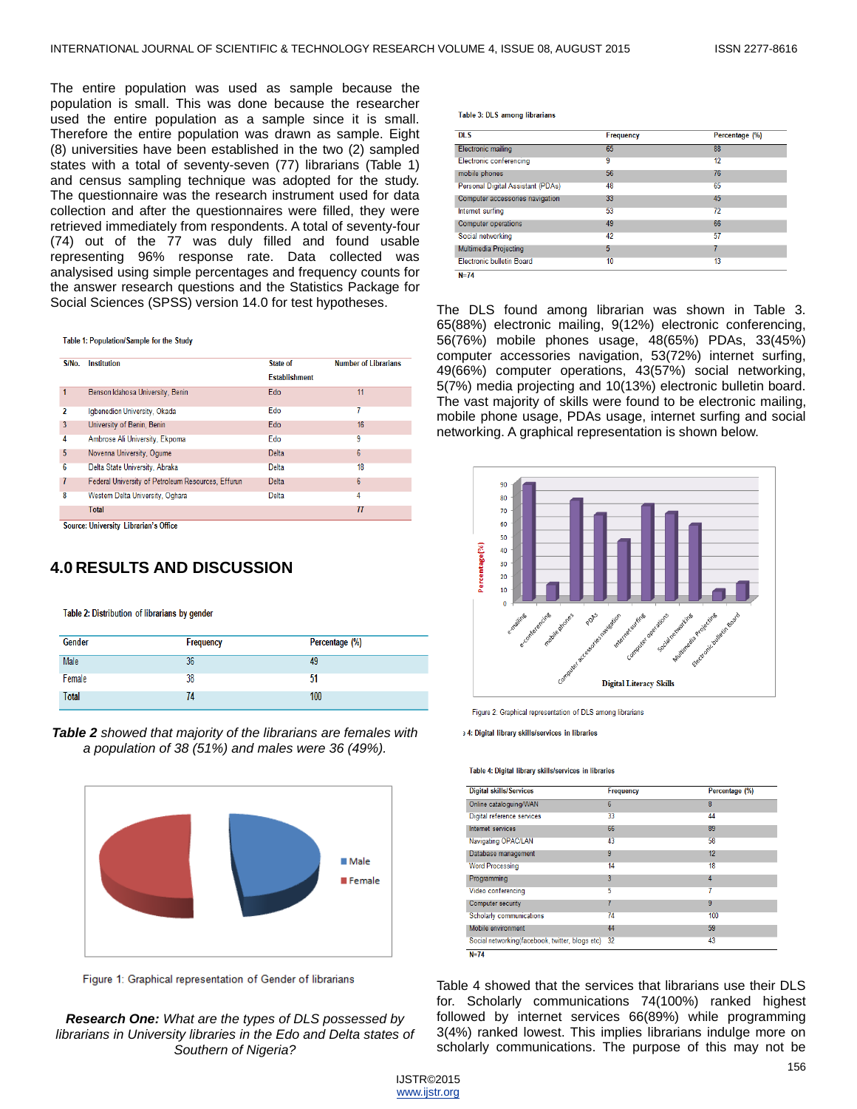The entire population was used as sample because the population is small. This was done because the researcher used the entire population as a sample since it is small. Therefore the entire population was drawn as sample. Eight (8) universities have been established in the two (2) sampled states with a total of seventy-seven (77) librarians (Table 1) and census sampling technique was adopted for the study. The questionnaire was the research instrument used for data collection and after the questionnaires were filled, they were retrieved immediately from respondents. A total of seventy-four (74) out of the 77 was duly filled and found usable representing 96% response rate. Data collected was analysised using simple percentages and frequency counts for the answer research questions and the Statistics Package for Social Sciences (SPSS) version 14.0 for test hypotheses.

Table 1: Population/Sample for the Study

| S/No.                   | <b>Institution</b>                                 | State of             | <b>Number of Librarians</b> |
|-------------------------|----------------------------------------------------|----------------------|-----------------------------|
|                         |                                                    | <b>Establishment</b> |                             |
|                         | Benson Idahosa University, Benin                   | Edo                  | 11                          |
| $\overline{\mathbf{2}}$ | Igbenedion University, Okada                       | Edo                  |                             |
| 3                       | University of Benin, Benin                         | Edo                  | 16                          |
| 4                       | Ambrose Ali University, Ekpoma                     | Edo                  | 9                           |
| 5                       | Novenna University, Ogume                          | <b>Delta</b>         | $6\phantom{1}$              |
| $6\phantom{1}6$         | Delta State University, Abraka                     | <b>Delta</b>         | 18                          |
| 7                       | Federal University of Petroleum Resources, Effurun | <b>Delta</b>         | 6                           |
| 8                       | Western Delta University, Oghara                   | <b>Delta</b>         | 4                           |
|                         | <b>Total</b>                                       |                      | 77                          |

**4.0 RESULTS AND DISCUSSION**

Table 2: Distribution of librarians by gender

| Gender | Frequency | Percentage (%) |
|--------|-----------|----------------|
| Male   | 36        | 49             |
| Female | 38        | 51             |
| Total  | 74        | 100            |

*Table 2 showed that majority of the librarians are females with a population of 38 (51%) and males were 36 (49%).*



Figure 1: Graphical representation of Gender of librarians

*Research One: What are the types of DLS possessed by librarians in University libraries in the Edo and Delta states of Southern of Nigeria?*

Table 3: DLS among librarians

| <b>DLS</b>                        | Frequency | Percentage (%) |  |
|-----------------------------------|-----------|----------------|--|
| <b>Electronic mailing</b>         | 65        | 88             |  |
| <b>Electronic conferencing</b>    | 9         | 12             |  |
| mobile phones                     | 56        | 76             |  |
| Personal Digital Assistant (PDAs) | 48        | 65             |  |
| Computer accessories navigation   | 33        | 45             |  |
| Internet surfing                  | 53        | 72             |  |
| <b>Computer operations</b>        | 49        | 66             |  |
| Social networking                 | 42        | 57             |  |
| <b>Multimedia Projecting</b>      | 5         |                |  |
| <b>Electronic bulletin Board</b>  | 10        | 13             |  |
| $N=74$                            |           |                |  |

The DLS found among librarian was shown in Table 3. 65(88%) electronic mailing, 9(12%) electronic conferencing, 56(76%) mobile phones usage, 48(65%) PDAs, 33(45%) computer accessories navigation, 53(72%) internet surfing, 49(66%) computer operations, 43(57%) social networking, 5(7%) media projecting and 10(13%) electronic bulletin board. The vast majority of skills were found to be electronic mailing, mobile phone usage, PDAs usage, internet surfing and social networking. A graphical representation is shown below.



Figure 2: Graphical representation of DLS among librarians

: 4: Digital library skills/services in libraries

Table 4: Digital library skills/services in libraries

| <b>Digital skills/Services</b>                  | Frequency | Percentage (%) |  |
|-------------------------------------------------|-----------|----------------|--|
| Online cataloguing/WAN                          | 6         | 8              |  |
| Digital reference services                      | 33        | 44             |  |
| Internet services                               | 66        | 89             |  |
| Navigating OPAC/LAN                             | 43        | 58             |  |
| Database management                             | 9         | 12             |  |
| <b>Word Processing</b>                          | 14        | 18             |  |
| Programming                                     | 3         | 4              |  |
| Video conferencing                              | 5         |                |  |
| <b>Computer security</b>                        |           | 9              |  |
| Scholarly communications                        | 74        | 100            |  |
| Mobile environment                              | 44        | 59             |  |
| Social networking(facebook, twitter, blogs etc) | 32        | 43             |  |

Table 4 showed that the services that librarians use their DLS for. Scholarly communications 74(100%) ranked highest followed by internet services 66(89%) while programming 3(4%) ranked lowest. This implies librarians indulge more on scholarly communications. The purpose of this may not be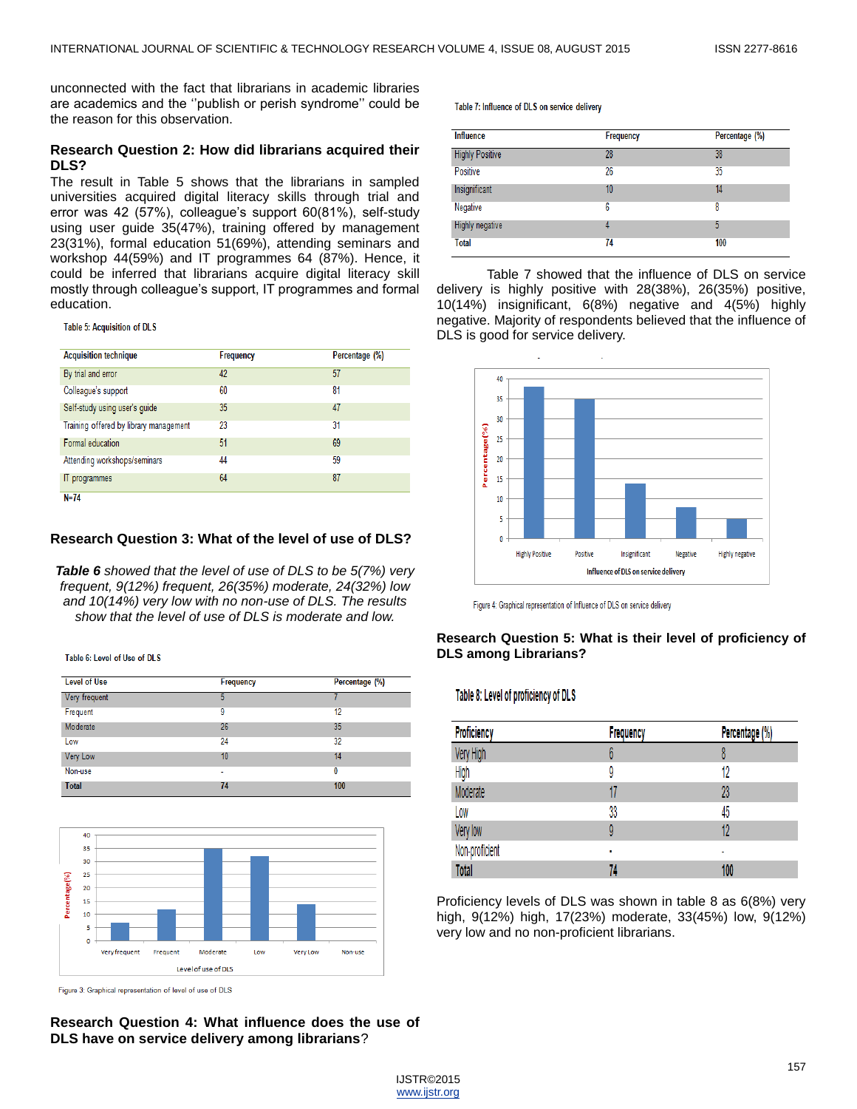unconnected with the fact that librarians in academic libraries are academics and the ''publish or perish syndrome'' could be the reason for this observation.

## **Research Question 2: How did librarians acquired their DLS?**

The result in Table 5 shows that the librarians in sampled universities acquired digital literacy skills through trial and error was 42 (57%), colleague's support 60(81%), self-study using user guide 35(47%), training offered by management 23(31%), formal education 51(69%), attending seminars and workshop 44(59%) and IT programmes 64 (87%). Hence, it could be inferred that librarians acquire digital literacy skill mostly through colleague's support, IT programmes and formal education.

Table 5: Acquisition of DLS

| <b>Acquisition technique</b>           | Frequency | Percentage (%) |
|----------------------------------------|-----------|----------------|
| By trial and error                     | 42        | 57             |
| Colleague's support                    | 60        | 81             |
| Self-study using user's guide          | 35        | 47             |
| Training offered by library management | 23        | 31             |
| Formal education                       | 51        | 69             |
| Attending workshops/seminars           | 44        | 59             |
| IT programmes                          | 64        | 87             |
| $N=74$                                 |           |                |

## **Research Question 3: What of the level of use of DLS?**

*Table 6 showed that the level of use of DLS to be 5(7%) very frequent, 9(12%) frequent, 26(35%) moderate, 24(32%) low and 10(14%) very low with no non-use of DLS. The results show that the level of use of DLS is moderate and low.*

Table 6: Level of Use of DLS

| <b>Level of Use</b> | Frequency | Percentage (%) |  |
|---------------------|-----------|----------------|--|
| Very frequent       | 5         |                |  |
| Frequent            | 9         | 12             |  |
| Moderate            | 26        | 35             |  |
| Low                 | 24        | 32             |  |
| Very Low            | 10        | 14             |  |
| Non-use             | ٠         | 0              |  |
| <b>Total</b>        | 74        | 100            |  |



Figure 3: Graphical representation of level of use of DLS

**Research Question 4: What influence does the use of DLS have on service delivery among librarians**?

Table 7: Influence of DLS on service delivery

| <b>Influence</b>       | Frequency | Percentage (%) |  |
|------------------------|-----------|----------------|--|
| <b>Highly Positive</b> | 28        | 38             |  |
| Positive               | 26        | 35             |  |
| Insignificant          | 10        | 14             |  |
| Negative               | 6         | 8              |  |
| Highly negative        | 4         | 5              |  |
| <b>Total</b>           | 74        | 100            |  |

Table 7 showed that the influence of DLS on service delivery is highly positive with 28(38%), 26(35%) positive, 10(14%) insignificant, 6(8%) negative and 4(5%) highly negative. Majority of respondents believed that the influence of DLS is good for service delivery.



Figure 4: Graphical representation of Influence of DLS on service delivery

#### **Research Question 5: What is their level of proficiency of DLS among Librarians?**

#### Table 8: Level of proficiency of DLS

| Proficiency    | Frequency | Percentage (%) |  |
|----------------|-----------|----------------|--|
| Very High      | V         | 8              |  |
| High           |           | 12             |  |
| Moderate       |           | 23             |  |
| Low            | 33        | 45             |  |
| Very low       | 9         | 12             |  |
| Non-proficient | ٠         |                |  |
| <b>Total</b>   | 74        | 100            |  |

Proficiency levels of DLS was shown in table 8 as 6(8%) very high, 9(12%) high, 17(23%) moderate, 33(45%) low, 9(12%) very low and no non-proficient librarians.

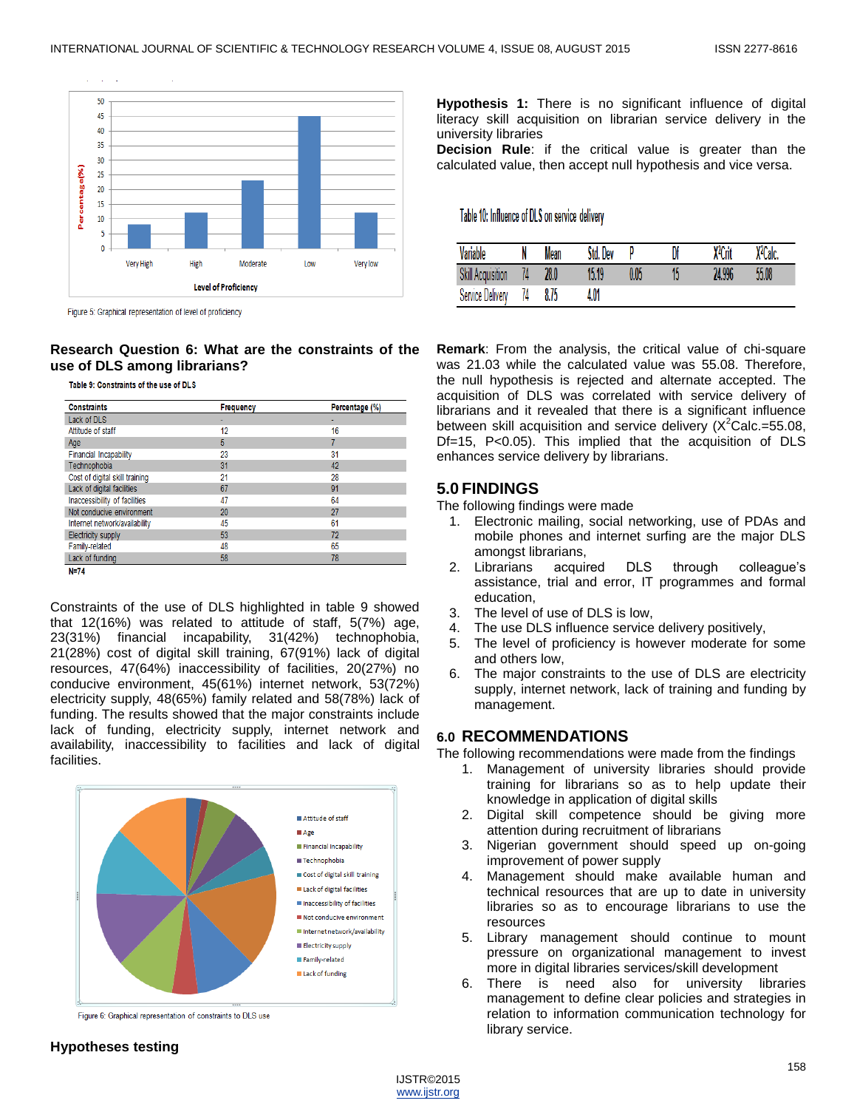

Figure 5: Graphical representation of level of proficiency

# **Research Question 6: What are the constraints of the use of DLS among librarians?**

Table 9: Constraints of the use of DLS

| <b>Constraints</b>             | <b>Frequency</b> | Percentage (%) |  |
|--------------------------------|------------------|----------------|--|
| Lack of DLS                    |                  |                |  |
| Attitude of staff              | 12               | 16             |  |
| Age                            | 5                |                |  |
| <b>Financial Incapability</b>  | 23               | 31             |  |
| Technophobia                   | 31               | 42             |  |
| Cost of digital skill training | 21               | 28             |  |
| Lack of digital facilities     | 67               | 91             |  |
| Inaccessibility of facilities  | 47               | 64             |  |
| Not conducive environment      | 20               | 27             |  |
| Internet network/availability  | 45               | 61             |  |
| <b>Electricity supply</b>      | 53               | 72             |  |
| Family-related                 | 48               | 65             |  |
| Lack of funding                | 58               | 78             |  |

Constraints of the use of DLS highlighted in table 9 showed that 12(16%) was related to attitude of staff, 5(7%) age, 23(31%) financial incapability, 31(42%) technophobia, 21(28%) cost of digital skill training, 67(91%) lack of digital resources, 47(64%) inaccessibility of facilities, 20(27%) no conducive environment, 45(61%) internet network, 53(72%) electricity supply, 48(65%) family related and 58(78%) lack of funding. The results showed that the major constraints include lack of funding, electricity supply, internet network and availability, inaccessibility to facilities and lack of digital facilities.



Figure 6: Graphical representation of constraints to DLS use

#### **Hypotheses testing**

**Hypothesis 1:** There is no significant influence of digital literacy skill acquisition on librarian service delivery in the university libraries

**Decision Rule**: if the critical value is greater than the calculated value, then accept null hypothesis and vice versa.

Table 10: Influence of DLS on service delivery

| Variable                 |    | Mean | Dev<br>Std. |      | Df | X <sup>2</sup> Crit | X <sup>2</sup> Calc. |
|--------------------------|----|------|-------------|------|----|---------------------|----------------------|
| <b>Skill Acquisition</b> |    | 28.0 | 15.19       | 0.05 | 15 | 24.996              | 55.08                |
| Service Delivery         | 74 | 8,75 | 4.01        |      |    |                     |                      |

**Remark**: From the analysis, the critical value of chi-square was 21.03 while the calculated value was 55.08. Therefore, the null hypothesis is rejected and alternate accepted. The acquisition of DLS was correlated with service delivery of librarians and it revealed that there is a significant influence between skill acquisition and service delivery  $(X^2$ Calc.=55.08, Df=15, P<0.05). This implied that the acquisition of DLS enhances service delivery by librarians.

# **5.0 FINDINGS**

The following findings were made

- 1. Electronic mailing, social networking, use of PDAs and mobile phones and internet surfing are the major DLS amongst librarians,
- 2. Librarians acquired DLS through colleague's assistance, trial and error, IT programmes and formal education,
- 3. The level of use of DLS is low,<br>4. The use DLS influence service
- The use DLS influence service delivery positively,
- 5. The level of proficiency is however moderate for some and others low,
- 6. The major constraints to the use of DLS are electricity supply, internet network, lack of training and funding by management.

#### **6.0 RECOMMENDATIONS**

The following recommendations were made from the findings

- 1. Management of university libraries should provide training for librarians so as to help update their knowledge in application of digital skills
- 2. Digital skill competence should be giving more attention during recruitment of librarians
- 3. Nigerian government should speed up on-going improvement of power supply
- 4. Management should make available human and technical resources that are up to date in university libraries so as to encourage librarians to use the resources
- 5. Library management should continue to mount pressure on organizational management to invest more in digital libraries services/skill development
- 6. There is need also for university libraries management to define clear policies and strategies in relation to information communication technology for library service.